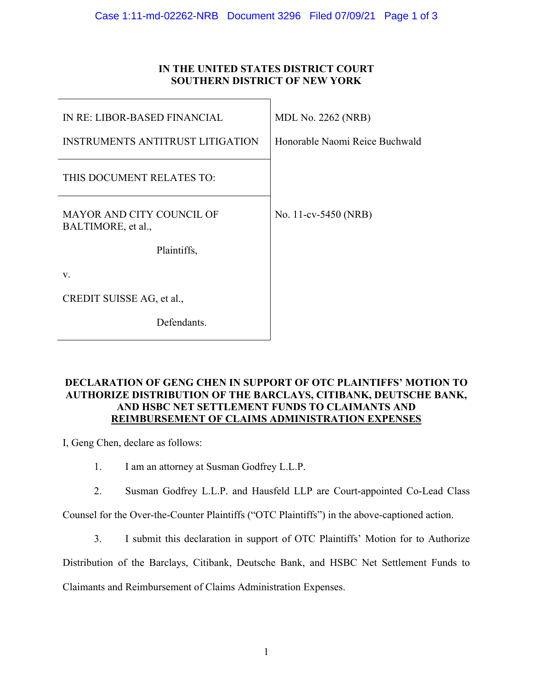## **IN THE UNITED STATES DISTRICT COURT SOUTHERN DISTRICT OF NEW YORK**

| IN RE: LIBOR-BASED FINANCIAL                           | <b>MDL No. 2262 (NRB)</b>      |
|--------------------------------------------------------|--------------------------------|
| <b>INSTRUMENTS ANTITRUST LITIGATION</b>                | Honorable Naomi Reice Buchwald |
| THIS DOCUMENT RELATES TO:                              |                                |
| <b>MAYOR AND CITY COUNCIL OF</b><br>BALTIMORE, et al., | No. 11-cv-5450 (NRB)           |
| Plaintiffs,                                            |                                |
| V.                                                     |                                |
| CREDIT SUISSE AG, et al.,                              |                                |
| Defendants.                                            |                                |

## **DECLARATION OF GENG CHEN IN SUPPORT OF OTC PLAINTIFFS' MOTION TO AUTHORIZE DISTRIBUTION OF THE BARCLAYS, CITIBANK, DEUTSCHE BANK, AND HSBC NET SETTLEMENT FUNDS TO CLAIMANTS AND REIMBURSEMENT OF CLAIMS ADMINISTRATION EXPENSES**

I, Geng Chen, declare as follows:

- 1. I am an attorney at Susman Godfrey L.L.P.
- 2. Susman Godfrey L.L.P. and Hausfeld LLP are Court-appointed Co-Lead Class

Counsel for the Over-the-Counter Plaintiffs ("OTC Plaintiffs") in the above-captioned action.

3. I submit this declaration in support of OTC Plaintiffs' Motion for to Authorize

Distribution of the Barclays, Citibank, Deutsche Bank, and HSBC Net Settlement Funds to

Claimants and Reimbursement of Claims Administration Expenses.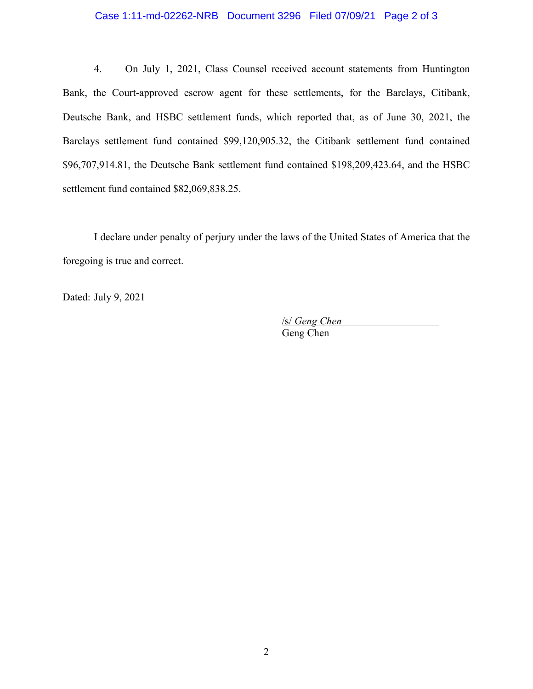## Case 1:11-md-02262-NRB Document 3296 Filed 07/09/21 Page 2 of 3

4. On July 1, 2021, Class Counsel received account statements from Huntington Bank, the Court-approved escrow agent for these settlements, for the Barclays, Citibank, Deutsche Bank, and HSBC settlement funds, which reported that, as of June 30, 2021, the Barclays settlement fund contained \$99,120,905.32, the Citibank settlement fund contained \$96,707,914.81, the Deutsche Bank settlement fund contained \$198,209,423.64, and the HSBC settlement fund contained \$82,069,838.25.

I declare under penalty of perjury under the laws of the United States of America that the foregoing is true and correct.

Dated: July 9, 2021

/s/ *Geng Chen*  Geng Chen